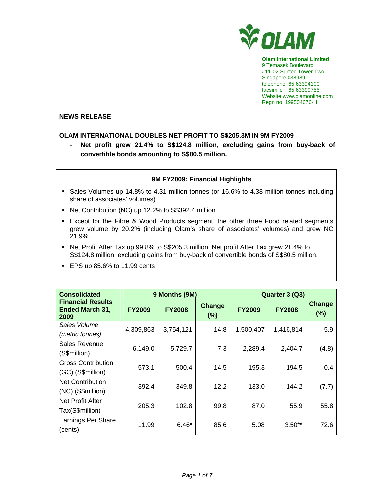

**Olam International Limited**  9 Temasek Boulevard #11-02 Suntec Tower Two Singapore 038989 telephone 65 63394100 facsimile 65 63399755 Website www.olamonline.com Regn no. 199504676-H

#### **NEWS RELEASE**

## **OLAM INTERNATIONAL DOUBLES NET PROFIT TO S\$205.3M IN 9M FY2009**

- **Net profit grew 21.4% to S\$124.8 million, excluding gains from buy-back of convertible bonds amounting to S\$80.5 million.** 

## **9M FY2009: Financial Highlights**

- Sales Volumes up 14.8% to 4.31 million tonnes (or 16.6% to 4.38 million tonnes including share of associates' volumes)
- Net Contribution (NC) up 12.2% to S\$392.4 million
- Except for the Fibre & Wood Products segment, the other three Food related segments grew volume by 20.2% (including Olam's share of associates' volumes) and grew NC 21.9%.
- Net Profit After Tax up 99.8% to S\$205.3 million. Net profit After Tax grew 21.4% to S\$124.8 million, excluding gains from buy-back of convertible bonds of S\$80.5 million.
- EPS up 85.6% to 11.99 cents

| <b>Consolidated</b>                                        |               | 9 Months (9M) |                   | Quarter 3 (Q3) |               |               |
|------------------------------------------------------------|---------------|---------------|-------------------|----------------|---------------|---------------|
| <b>Financial Results</b><br><b>Ended March 31,</b><br>2009 | <b>FY2009</b> | <b>FY2008</b> | Change<br>$(\% )$ | <b>FY2009</b>  | <b>FY2008</b> | Change<br>(%) |
| Sales Volume                                               | 4,309,863     | 3,754,121     | 14.8              | 1,500,407      | 1,416,814     | 5.9           |
| (metric tonnes)                                            |               |               |                   |                |               |               |
| Sales Revenue                                              | 6,149.0       | 5,729.7       | 7.3               | 2,289.4        | 2,404.7       | (4.8)         |
| (S\$million)                                               |               |               |                   |                |               |               |
| <b>Gross Contribution</b>                                  | 573.1         | 500.4         | 14.5              | 195.3          | 194.5         | 0.4           |
| (GC) (S\$million)                                          |               |               |                   |                |               |               |
| <b>Net Contribution</b>                                    | 392.4         | 349.8         | 12.2              | 133.0          | 144.2         | (7.7)         |
| (NC) (S\$million)                                          |               |               |                   |                |               |               |
| Net Profit After                                           | 205.3         | 102.8         | 99.8              | 87.0           | 55.9          | 55.8          |
| Tax(S\$million)                                            |               |               |                   |                |               |               |
| Earnings Per Share                                         | 11.99         | $6.46*$       | 85.6              | 5.08           | $3.50**$      | 72.6          |
| (cents)                                                    |               |               |                   |                |               |               |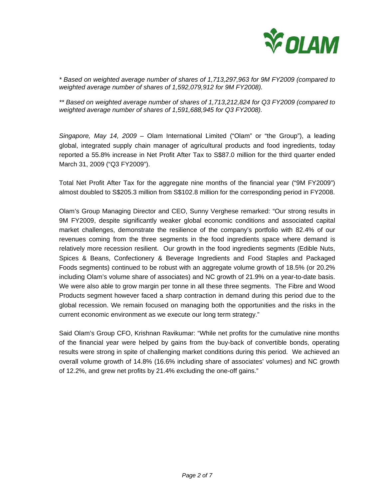

*\* Based on weighted average number of shares of 1,713,297,963 for 9M FY2009 (compared to weighted average number of shares of 1,592,079,912 for 9M FY2008).* 

*\*\* Based on weighted average number of shares of 1,713,212,824 for Q3 FY2009 (compared to weighted average number of shares of 1,591,688,945 for Q3 FY2008).* 

*Singapore, May 14, 2009 –* Olam International Limited ("Olam" or "the Group"), a leading global, integrated supply chain manager of agricultural products and food ingredients, today reported a 55.8% increase in Net Profit After Tax to S\$87.0 million for the third quarter ended March 31, 2009 ("Q3 FY2009").

Total Net Profit After Tax for the aggregate nine months of the financial year ("9M FY2009") almost doubled to S\$205.3 million from S\$102.8 million for the corresponding period in FY2008.

Olam's Group Managing Director and CEO, Sunny Verghese remarked: "Our strong results in 9M FY2009, despite significantly weaker global economic conditions and associated capital market challenges, demonstrate the resilience of the company's portfolio with 82.4% of our revenues coming from the three segments in the food ingredients space where demand is relatively more recession resilient. Our growth in the food ingredients segments (Edible Nuts, Spices & Beans, Confectionery & Beverage Ingredients and Food Staples and Packaged Foods segments) continued to be robust with an aggregate volume growth of 18.5% (or 20.2% including Olam's volume share of associates) and NC growth of 21.9% on a year-to-date basis. We were also able to grow margin per tonne in all these three segments. The Fibre and Wood Products segment however faced a sharp contraction in demand during this period due to the global recession. We remain focused on managing both the opportunities and the risks in the current economic environment as we execute our long term strategy."

Said Olam's Group CFO, Krishnan Ravikumar: "While net profits for the cumulative nine months of the financial year were helped by gains from the buy-back of convertible bonds, operating results were strong in spite of challenging market conditions during this period. We achieved an overall volume growth of 14.8% (16.6% including share of associates' volumes) and NC growth of 12.2%, and grew net profits by 21.4% excluding the one-off gains."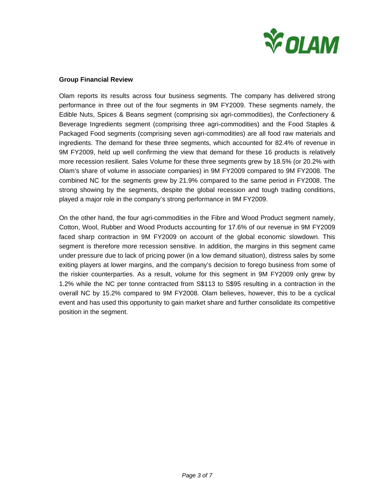

## **Group Financial Review**

Olam reports its results across four business segments. The company has delivered strong performance in three out of the four segments in 9M FY2009. These segments namely, the Edible Nuts, Spices & Beans segment (comprising six agri-commodities), the Confectionery & Beverage Ingredients segment (comprising three agri-commodities) and the Food Staples & Packaged Food segments (comprising seven agri-commodities) are all food raw materials and ingredients. The demand for these three segments, which accounted for 82.4% of revenue in 9M FY2009, held up well confirming the view that demand for these 16 products is relatively more recession resilient. Sales Volume for these three segments grew by 18.5% (or 20.2% with Olam's share of volume in associate companies) in 9M FY2009 compared to 9M FY2008. The combined NC for the segments grew by 21.9% compared to the same period in FY2008. The strong showing by the segments, despite the global recession and tough trading conditions, played a major role in the company's strong performance in 9M FY2009.

On the other hand, the four agri-commodities in the Fibre and Wood Product segment namely, Cotton, Wool, Rubber and Wood Products accounting for 17.6% of our revenue in 9M FY2009 faced sharp contraction in 9M FY2009 on account of the global economic slowdown. This segment is therefore more recession sensitive. In addition, the margins in this segment came under pressure due to lack of pricing power (in a low demand situation), distress sales by some exiting players at lower margins, and the company's decision to forego business from some of the riskier counterparties. As a result, volume for this segment in 9M FY2009 only grew by 1.2% while the NC per tonne contracted from S\$113 to S\$95 resulting in a contraction in the overall NC by 15.2% compared to 9M FY2008. Olam believes, however, this to be a cyclical event and has used this opportunity to gain market share and further consolidate its competitive position in the segment.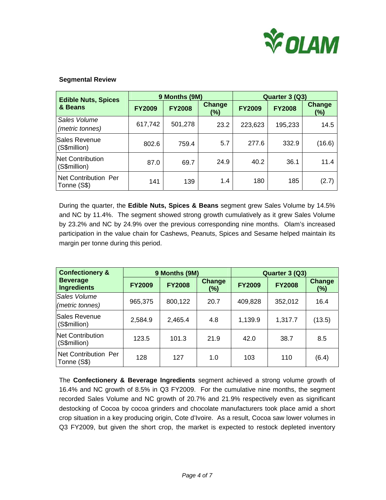

## **Segmental Review**

| <b>Edible Nuts, Spices</b>              | 9 Months (9M) |               |                      | Quarter 3 (Q3) |               |                      |
|-----------------------------------------|---------------|---------------|----------------------|----------------|---------------|----------------------|
| & Beans                                 | <b>FY2009</b> | <b>FY2008</b> | <b>Change</b><br>(%) | <b>FY2009</b>  | <b>FY2008</b> | <b>Change</b><br>(%) |
| Sales Volume<br>(metric tonnes)         | 617,742       | 501,278       | 23.2                 | 223,623        | 195,233       | 14.5                 |
| <b>Sales Revenue</b><br>(S\$million)    | 802.6         | 759.4         | 5.7                  | 277.6          | 332.9         | (16.6)               |
| <b>Net Contribution</b><br>(S\$million) | 87.0          | 69.7          | 24.9                 | 40.2           | 36.1          | 11.4                 |
| Net Contribution Per<br>Tonne (S\$)     | 141           | 139           | 1.4                  | 180            | 185           | (2.7)                |

During the quarter, the **Edible Nuts, Spices & Beans** segment grew Sales Volume by 14.5% and NC by 11.4%. The segment showed strong growth cumulatively as it grew Sales Volume by 23.2% and NC by 24.9% over the previous corresponding nine months. Olam's increased participation in the value chain for Cashews, Peanuts, Spices and Sesame helped maintain its margin per tonne during this period.

| <b>Confectionery &amp;</b>            |               | 9 Months (9M) |                      | Quarter 3 (Q3) |               |                      |
|---------------------------------------|---------------|---------------|----------------------|----------------|---------------|----------------------|
| <b>Beverage</b><br><b>Ingredients</b> | <b>FY2009</b> | <b>FY2008</b> | <b>Change</b><br>(%) | <b>FY2009</b>  | <b>FY2008</b> | <b>Change</b><br>(%) |
| Sales Volume<br>(metric tonnes)       | 965,375       | 800,122       | 20.7                 | 409,828        | 352,012       | 16.4                 |
| Sales Revenue<br>(S\$million)         | 2,584.9       | 2,465.4       | 4.8                  | 1,139.9        | 1,317.7       | (13.5)               |
| Net Contribution<br>(S\$million)      | 123.5         | 101.3         | 21.9                 | 42.0           | 38.7          | 8.5                  |
| Net Contribution Per<br>Tonne (S\$)   | 128           | 127           | 1.0                  | 103            | 110           | (6.4)                |

The **Confectionery & Beverage Ingredients** segment achieved a strong volume growth of 16.4% and NC growth of 8.5% in Q3 FY2009. For the cumulative nine months, the segment recorded Sales Volume and NC growth of 20.7% and 21.9% respectively even as significant destocking of Cocoa by cocoa grinders and chocolate manufacturers took place amid a short crop situation in a key producing origin, Cote d'Ivoire. As a result, Cocoa saw lower volumes in Q3 FY2009, but given the short crop, the market is expected to restock depleted inventory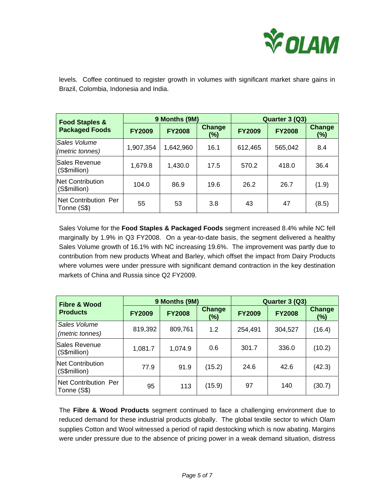

levels. Coffee continued to register growth in volumes with significant market share gains in Brazil, Colombia, Indonesia and India.

| <b>Food Staples &amp;</b><br><b>Packaged Foods</b> | 9 Months (9M) |               |                      | Quarter 3 (Q3) |               |                      |
|----------------------------------------------------|---------------|---------------|----------------------|----------------|---------------|----------------------|
|                                                    | <b>FY2009</b> | <b>FY2008</b> | <b>Change</b><br>(%) | <b>FY2009</b>  | <b>FY2008</b> | <b>Change</b><br>(%) |
| Sales Volume<br>(metric tonnes)                    | 1,907,354     | 1,642,960     | 16.1                 | 612,465        | 565,042       | 8.4                  |
| Sales Revenue<br>(S\$million)                      | 1,679.8       | 1,430.0       | 17.5                 | 570.2          | 418.0         | 36.4                 |
| Net Contribution<br>(S\$million)                   | 104.0         | 86.9          | 19.6                 | 26.2           | 26.7          | (1.9)                |
| Net Contribution Per<br>Tonne (S\$)                | 55            | 53            | 3.8                  | 43             | 47            | (8.5)                |

Sales Volume for the **Food Staples & Packaged Foods** segment increased 8.4% while NC fell marginally by 1.9% in Q3 FY2008. On a year-to-date basis, the segment delivered a healthy Sales Volume growth of 16.1% with NC increasing 19.6%. The improvement was partly due to contribution from new products Wheat and Barley, which offset the impact from Dairy Products where volumes were under pressure with significant demand contraction in the key destination markets of China and Russia since Q2 FY2009.

| <b>Fibre &amp; Wood</b>             | 9 Months (9M) |               |                      | Quarter 3 (Q3) |               |                  |
|-------------------------------------|---------------|---------------|----------------------|----------------|---------------|------------------|
| <b>Products</b>                     | <b>FY2009</b> | <b>FY2008</b> | <b>Change</b><br>(%) | <b>FY2009</b>  | <b>FY2008</b> | Change<br>$(\%)$ |
| Sales Volume<br>(metric tonnes)     | 819,392       | 809,761       | 1.2                  | 254,491        | 304,527       | (16.4)           |
| lSales Revenue<br>(S\$million)      | 1,081.7       | 1,074.9       | 0.6                  | 301.7          | 336.0         | (10.2)           |
| Net Contribution<br>(S\$million)    | 77.9          | 91.9          | (15.2)               | 24.6           | 42.6          | (42.3)           |
| Net Contribution Per<br>Tonne (S\$) | 95            | 113           | (15.9)               | 97             | 140           | (30.7)           |

The **Fibre & Wood Products** segment continued to face a challenging environment due to reduced demand for these industrial products globally. The global textile sector to which Olam supplies Cotton and Wool witnessed a period of rapid destocking which is now abating. Margins were under pressure due to the absence of pricing power in a weak demand situation, distress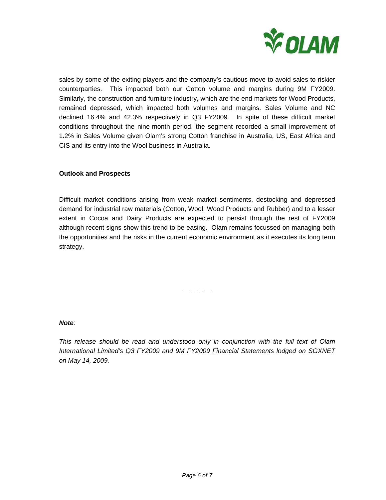

sales by some of the exiting players and the company's cautious move to avoid sales to riskier counterparties. This impacted both our Cotton volume and margins during 9M FY2009. Similarly, the construction and furniture industry, which are the end markets for Wood Products, remained depressed, which impacted both volumes and margins. Sales Volume and NC declined 16.4% and 42.3% respectively in Q3 FY2009. In spite of these difficult market conditions throughout the nine-month period, the segment recorded a small improvement of 1.2% in Sales Volume given Olam's strong Cotton franchise in Australia, US, East Africa and CIS and its entry into the Wool business in Australia.

# **Outlook and Prospects**

Difficult market conditions arising from weak market sentiments, destocking and depressed demand for industrial raw materials (Cotton, Wool, Wood Products and Rubber) and to a lesser extent in Cocoa and Dairy Products are expected to persist through the rest of FY2009 although recent signs show this trend to be easing. Olam remains focussed on managing both the opportunities and the risks in the current economic environment as it executes its long term strategy.

. . . . .

#### *Note:*

*This release should be read and understood only in conjunction with the full text of Olam International Limited's Q3 FY2009 and 9M FY2009 Financial Statements lodged on SGXNET on May 14, 2009.*